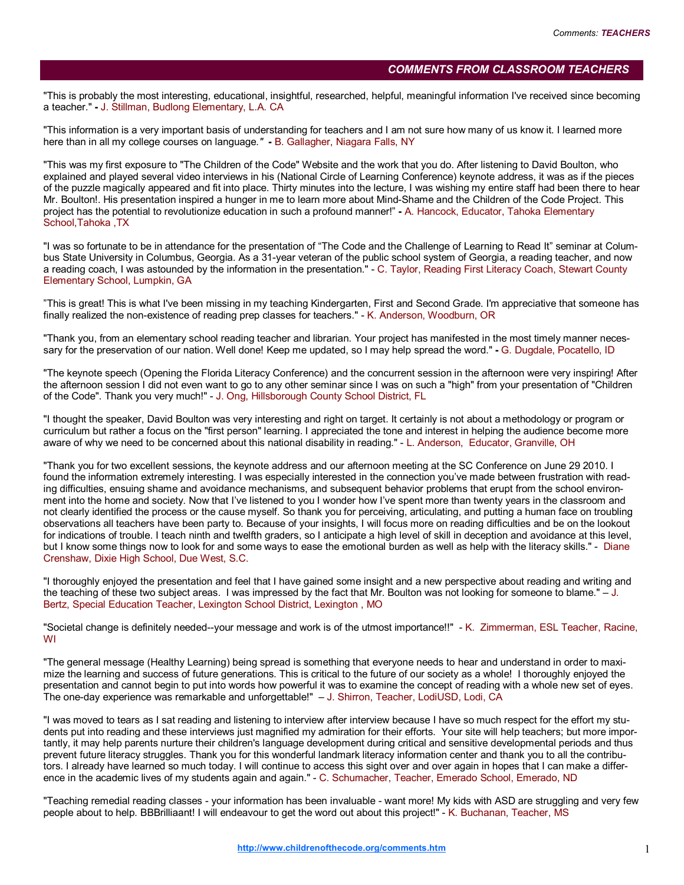## COMMENTS FROM CLASSROOM TEACHERS

"This is probably the most interesting, educational, insightful, researched, helpful, meaningful information I've received since becoming a teacher." - J. Stillman, Budlong Elementary, L.A. CA

"This information is a very important basis of understanding for teachers and I am not sure how many of us know it. I learned more here than in all my college courses on language." - B. Gallagher, Niagara Falls, NY

"This was my first exposure to "The Children of the Code" Website and the work that you do. After listening to David Boulton, who explained and played several video interviews in his (National Circle of Learning Conference) keynote address, it was as if the pieces of the puzzle magically appeared and fit into place. Thirty minutes into the lecture, I was wishing my entire staff had been there to hear Mr. Boulton!. His presentation inspired a hunger in me to learn more about Mind-Shame and the Children of the Code Project. This project has the potential to revolutionize education in such a profound manner!" - A. Hancock, Educator, Tahoka Elementary School,Tahoka ,TX

"I was so fortunate to be in attendance for the presentation of "The Code and the Challenge of Learning to Read It" seminar at Columbus State University in Columbus, Georgia. As a 31-year veteran of the public school system of Georgia, a reading teacher, and now a reading coach, I was astounded by the information in the presentation." - C. Taylor, Reading First Literacy Coach, Stewart County Elementary School, Lumpkin, GA

"This is great! This is what I've been missing in my teaching Kindergarten, First and Second Grade. I'm appreciative that someone has finally realized the non-existence of reading prep classes for teachers." - K. Anderson, Woodburn, OR

"Thank you, from an elementary school reading teacher and librarian. Your project has manifested in the most timely manner necessary for the preservation of our nation. Well done! Keep me updated, so I may help spread the word." - G. Dugdale, Pocatello, ID

"The keynote speech (Opening the Florida Literacy Conference) and the concurrent session in the afternoon were very inspiring! After the afternoon session I did not even want to go to any other seminar since I was on such a "high" from your presentation of "Children of the Code". Thank you very much!" - J. Ong, Hillsborough County School District, FL

"I thought the speaker, David Boulton was very interesting and right on target. It certainly is not about a methodology or program or curriculum but rather a focus on the "first person" learning. I appreciated the tone and interest in helping the audience become more aware of why we need to be concerned about this national disability in reading." - L. Anderson, Educator, Granville, OH

"Thank you for two excellent sessions, the keynote address and our afternoon meeting at the SC Conference on June 29 2010. I found the information extremely interesting. I was especially interested in the connection you've made between frustration with reading difficulties, ensuing shame and avoidance mechanisms, and subsequent behavior problems that erupt from the school environment into the home and society. Now that I've listened to you I wonder how I've spent more than twenty years in the classroom and not clearly identified the process or the cause myself. So thank you for perceiving, articulating, and putting a human face on troubling observations all teachers have been party to. Because of your insights, I will focus more on reading difficulties and be on the lookout for indications of trouble. I teach ninth and twelfth graders, so I anticipate a high level of skill in deception and avoidance at this level, but I know some things now to look for and some ways to ease the emotional burden as well as help with the literacy skills." - Diane Crenshaw, Dixie High School, Due West, S.C.

"I thoroughly enjoyed the presentation and feel that I have gained some insight and a new perspective about reading and writing and the teaching of these two subject areas. I was impressed by the fact that Mr. Boulton was not looking for someone to blame." – J. Bertz, Special Education Teacher, Lexington School District, Lexington , MO

"Societal change is definitely needed--your message and work is of the utmost importance!!" - K. Zimmerman, ESL Teacher, Racine, WI

"The general message (Healthy Learning) being spread is something that everyone needs to hear and understand in order to maximize the learning and success of future generations. This is critical to the future of our society as a whole! I thoroughly enjoyed the presentation and cannot begin to put into words how powerful it was to examine the concept of reading with a whole new set of eyes. The one-day experience was remarkable and unforgettable!" – J. Shirron, Teacher, LodiUSD, Lodi, CA

"I was moved to tears as I sat reading and listening to interview after interview because I have so much respect for the effort my students put into reading and these interviews just magnified my admiration for their efforts. Your site will help teachers; but more importantly, it may help parents nurture their children's language development during critical and sensitive developmental periods and thus prevent future literacy struggles. Thank you for this wonderful landmark literacy information center and thank you to all the contributors. I already have learned so much today. I will continue to access this sight over and over again in hopes that I can make a difference in the academic lives of my students again and again." - C. Schumacher, Teacher, Emerado School, Emerado, ND

"Teaching remedial reading classes - your information has been invaluable - want more! My kids with ASD are struggling and very few people about to help. BBBrilliaant! I will endeavour to get the word out about this project!" - K. Buchanan, Teacher, MS